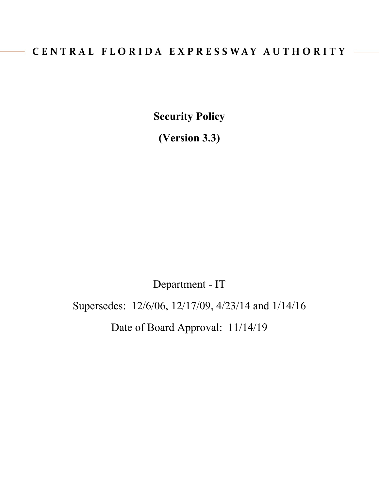# CENTRAL FLORIDA EXPRESSWAY AUTHORITY

**Security Policy** 

**(Version 3.3)**

Department - IT

Supersedes: 12/6/06, 12/17/09, 4/23/14 and 1/14/16

Date of Board Approval: 11/14/19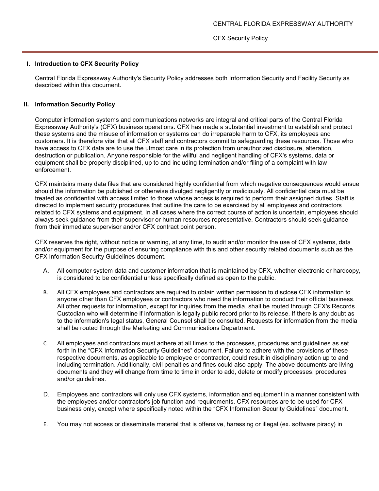#### **I. Introduction to CFX Security Policy**

Central Florida Expressway Authority's Security Policy addresses both Information Security and Facility Security as described within this document.

### **II. Information Security Policy**

Computer information systems and communications networks are integral and critical parts of the Central Florida Expressway Authority's (CFX) business operations. CFX has made a substantial investment to establish and protect these systems and the misuse of information or systems can do irreparable harm to CFX, its employees and customers. It is therefore vital that all CFX staff and contractors commit to safeguarding these resources. Those who have access to CFX data are to use the utmost care in its protection from unauthorized disclosure, alteration, destruction or publication. Anyone responsible for the willful and negligent handling of CFX's systems, data or equipment shall be properly disciplined, up to and including termination and/or filing of a complaint with law enforcement.

CFX maintains many data files that are considered highly confidential from which negative consequences would ensue should the information be published or otherwise divulged negligently or maliciously. All confidential data must be treated as confidential with access limited to those whose access is required to perform their assigned duties. Staff is directed to implement security procedures that outline the care to be exercised by all employees and contractors related to CFX systems and equipment. In all cases where the correct course of action is uncertain, employees should always seek guidance from their supervisor or human resources representative. Contractors should seek guidance from their immediate supervisor and/or CFX contract point person.

CFX reserves the right, without notice or warning, at any time, to audit and/or monitor the use of CFX systems, data and/or equipment for the purpose of ensuring compliance with this and other security related documents such as the CFX Information Security Guidelines document.

- A. All computer system data and customer information that is maintained by CFX, whether electronic or hardcopy, is considered to be confidential unless specifically defined as open to the public.
- B. All CFX employees and contractors are required to obtain written permission to disclose CFX information to anyone other than CFX employees or contractors who need the information to conduct their official business. All other requests for information, except for inquiries from the media, shall be routed through CFX's Records Custodian who will determine if information is legally public record prior to its release. If there is any doubt as to the information's legal status, General Counsel shall be consulted. Requests for information from the media shall be routed through the Marketing and Communications Department.
- C. All employees and contractors must adhere at all times to the processes, procedures and guidelines as set forth in the "CFX Information Security Guidelines" document. Failure to adhere with the provisions of these respective documents, as applicable to employee or contractor, could result in disciplinary action up to and including termination. Additionally, civil penalties and fines could also apply. The above documents are living documents and they will change from time to time in order to add, delete or modify processes, procedures and/or guidelines.
- D. Employees and contractors will only use CFX systems, information and equipment in a manner consistent with the employees and/or contractor's job function and requirements. CFX resources are to be used for CFX business only, except where specifically noted within the "CFX Information Security Guidelines" document.
- E. You may not access or disseminate material that is offensive, harassing or illegal (ex. software piracy) in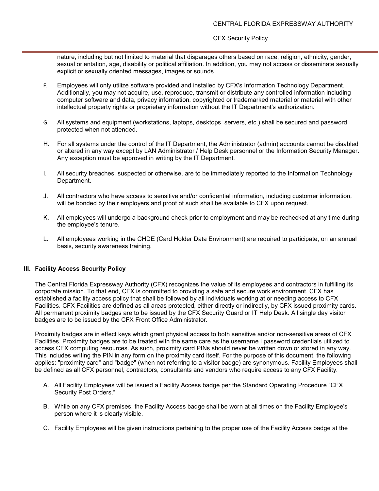nature, including but not limited to material that disparages others based on race, religion, ethnicity, gender, sexual orientation, age, disability or political affiliation. In addition, you may not access or disseminate sexually explicit or sexually oriented messages, images or sounds.

- F. Employees will only utilize software provided and installed by CFX's Information Technology Department. Additionally, you may not acquire, use, reproduce, transmit or distribute any controlled information including computer software and data, privacy information, copyrighted or trademarked material or material with other intellectual property rights or proprietary information without the IT Department's authorization.
- G. All systems and equipment (workstations, laptops, desktops, servers, etc.) shall be secured and password protected when not attended.
- H. For all systems under the control of the IT Department, the Administrator (admin) accounts cannot be disabled or altered in any way except by LAN Administrator / Help Desk personnel or the Information Security Manager. Any exception must be approved in writing by the IT Department.
- I. All security breaches, suspected or otherwise, are to be immediately reported to the Information Technology Department.
- J. All contractors who have access to sensitive and/or confidential information, including customer information, will be bonded by their employers and proof of such shall be available to CFX upon request.
- K. All employees will undergo a background check prior to employment and may be rechecked at any time during the employee's tenure.
- L. All employees working in the CHDE (Card Holder Data Environment) are required to participate, on an annual basis, security awareness training.

# **III. Facility Access Security Policy**

The Central Florida Expressway Authority (CFX) recognizes the value of its employees and contractors in fulfilling its corporate mission. To that end, CFX is committed to providing a safe and secure work environment. CFX has established a facility access policy that shall be followed by all individuals working at or needing access to CFX Facilities. CFX Facilities are defined as all areas protected, either directly or indirectly, by CFX issued proximity cards. All permanent proximity badges are to be issued by the CFX Security Guard or IT Help Desk. All single day visitor badges are to be issued by the CFX Front Office Administrator.

Proximity badges are in effect keys which grant physical access to both sensitive and/or non-sensitive areas of CFX Facilities. Proximity badges are to be treated with the same care as the username I password credentials utilized to access CFX computing resources. As such, proximity card PINs should never be written down or stored in any way. This includes writing the PIN in any form on the proximity card itself. For the purpose of this document, the following applies: "proximity card" and "badge" (when not referring to a visitor badge) are synonymous. Facility Employees shall be defined as all CFX personnel, contractors, consultants and vendors who require access to any CFX Facility.

- A. All Facility Employees will be issued a Facility Access badge per the Standard Operating Procedure "CFX Security Post Orders."
- B. While on any CFX premises, the Facility Access badge shall be worn at all times on the Facility Employee's person where it is clearly visible.
- C. Facility Employees will be given instructions pertaining to the proper use of the Facility Access badge at the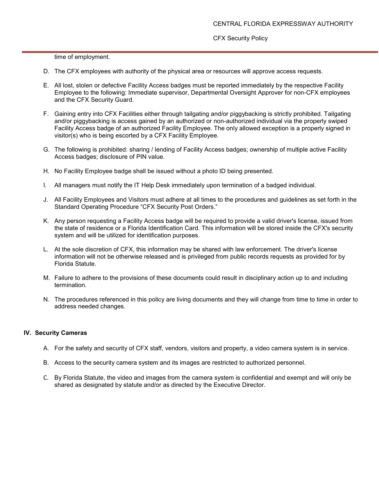time of employment.

- D. The CFX employees with authority of the physical area or resources will approve access requests.
- E. All lost, stolen or defective Facility Access badges must be reported immediately by the respective Facility Employee to the following: Immediate supervisor, Departmental Oversight Approver for non-CFX employees and the CFX Security Guard.
- F. Gaining entry into CFX Facilities either through tailgating and/or piggybacking is strictly prohibited. Tailgating and/or piggybacking is access gained by an authorized or non-authorized individual via the properly swiped Facility Access badge of an authorized Facility Employee. The only allowed exception is a properly signed in visitor(s) who is being escorted by a CFX Facility Employee.
- G. The following is prohibited: sharing / lending of Facility Access badges; ownership of multiple active Facility Access badges; disclosure of PIN value.
- H. No Facility Employee badge shall be issued without a photo ID being presented.
- I. All managers must notify the IT Help Desk immediately upon termination of a badged individual.
- J. All Facility Employees and Visitors must adhere at all times to the procedures and guidelines as set forth in the Standard Operating Procedure "CFX Security Post Orders."
- K. Any person requesting a Facility Access badge will be required to provide a valid driver's license, issued from the state of residence or a Florida Identification Card. This information will be stored inside the CFX's security system and will be utilized for identification purposes.
- L. At the sole discretion of CFX, this information may be shared with law enforcement. The driver's license information will not be otherwise released and is privileged from public records requests as provided for by Florida Statute.
- M. Failure to adhere to the provisions of these documents could result in disciplinary action up to and including termination.
- N. The procedures referenced in this policy are living documents and they will change from time to time in order to address needed changes.

# **IV. Security Cameras**

- A. For the safety and security of CFX staff, vendors, visitors and property, a video camera system is in service.
- B. Access to the security camera system and its images are restricted to authorized personnel.
- C. By Florida Statute, the video and images from the camera system is confidential and exempt and will only be shared as designated by statute and/or as directed by the Executive Director.